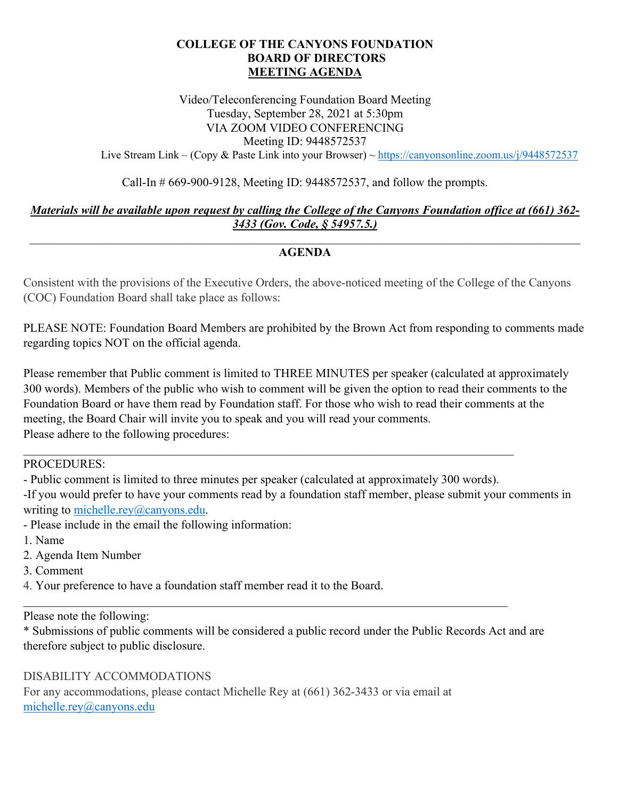## **COLLEGE OF THE CANYONS FOUNDATION BOARD OF DIRECTORS MEETING AGENDA**

Video/Teleconferencing Foundation Board Meeting Tuesday, September 28, 2021 at 5:30pm VIA ZOOM VIDEO CONFERENCING Meeting ID: 9448572537

Live Stream Link – (Copy & Paste Link into your Browser) ~ https://canyonsonline.zoom.us/j/9448572537

Call-In # 669-900-9128, Meeting ID: 9448572537, and follow the prompts.

## *Materials will be available upon request by calling the College of the Canyons Foundation office at (661) 362- 3433 (Gov. Code, § 54957.5.)*

## $\mathcal{L}_\mathcal{L} = \mathcal{L}_\mathcal{L} = \mathcal{L}_\mathcal{L} = \mathcal{L}_\mathcal{L} = \mathcal{L}_\mathcal{L} = \mathcal{L}_\mathcal{L} = \mathcal{L}_\mathcal{L} = \mathcal{L}_\mathcal{L} = \mathcal{L}_\mathcal{L} = \mathcal{L}_\mathcal{L} = \mathcal{L}_\mathcal{L} = \mathcal{L}_\mathcal{L} = \mathcal{L}_\mathcal{L} = \mathcal{L}_\mathcal{L} = \mathcal{L}_\mathcal{L} = \mathcal{L}_\mathcal{L} = \mathcal{L}_\mathcal{L}$ **AGENDA**

Consistent with the provisions of the Executive Orders, the above-noticed meeting of the College of the Canyons (COC) Foundation Board shall take place as follows:

regarding topics NOT on the official agenda. PLEASE NOTE: Foundation Board Members are prohibited by the Brown Act from responding to comments made

Please remember that Public comment is limited to THREE MINUTES per speaker (calculated at approximately 300 words). Members of the public who wish to comment will be given the option to read their comments to the Foundation Board or have them read by Foundation staff. For those who wish to read their comments at the meeting, the Board Chair will invite you to speak and you will read your comments. Please adhere to the following procedures:

PROCEDURES:

- Public comment is limited to three minutes per speaker (calculated at approximately 300 words).

-If you would prefer to have your comments read by a foundation staff member, please submit your comments in writing to [michelle.rey@canyons.edu.](mailto:michelle.rey@canyons.edu)

- Please include in the email the following information: 1. Name

- 
- 2. Agenda Item Number
- 3. Comment
- 4. Your preference to have a foundation staff member read it to the Board.

Please note the following:

\* Submissions of public comments will be considered a public record under the Public Records Act and are therefore subject to public disclosure.

## DISABILITY ACCOMMODATIONS

For any accommodations, please contact Michelle Rey at (661) 362-3433 or via email at [michelle.rey@canyons.edu](mailto:michelle.rey@canyons.edu)